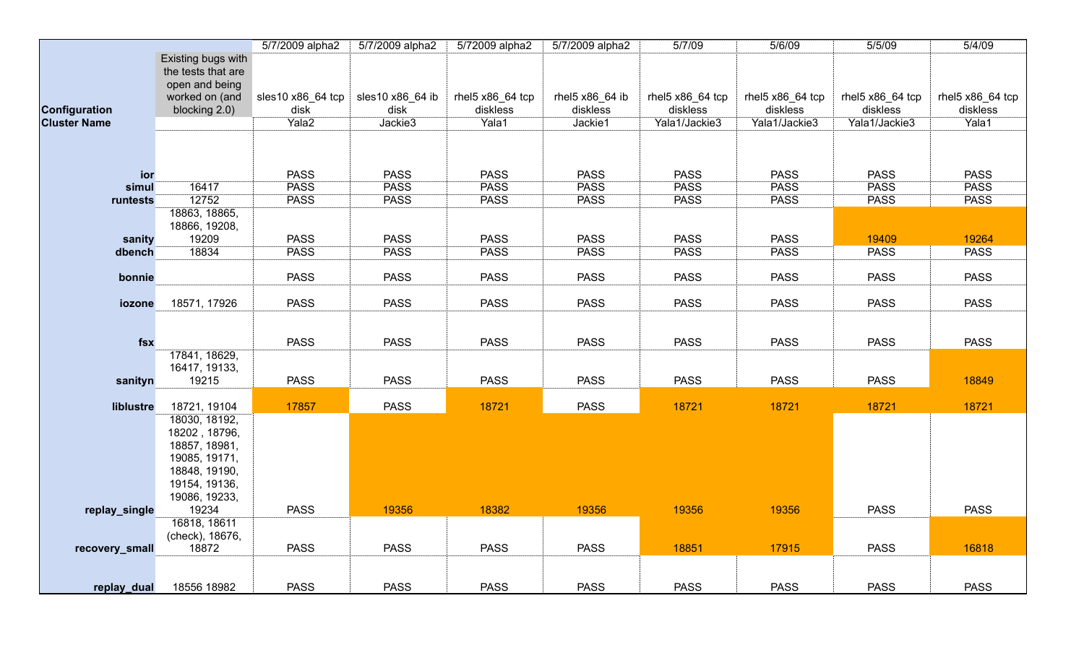|                     |                                                                                                                     | 5/7/2009 alpha2           | 5/7/2009 alpha2          | 5/72009 alpha2               | 5/7/2009 alpha2             | 5/7/09                       | 5/6/09                       | 5/5/09                       | 5/4/09                       |
|---------------------|---------------------------------------------------------------------------------------------------------------------|---------------------------|--------------------------|------------------------------|-----------------------------|------------------------------|------------------------------|------------------------------|------------------------------|
|                     | Existing bugs with<br>the tests that are<br>open and being                                                          |                           |                          |                              |                             |                              |                              |                              |                              |
| Configuration       | worked on (and<br>blocking 2.0)                                                                                     | sles10 x86_64 tcp<br>disk | sles10 x86_64 ib<br>disk | rhel5 x86_64 tcp<br>diskless | rhel5 x86_64 ib<br>diskless | rhel5 x86_64 tcp<br>diskless | rhel5 x86_64 tcp<br>diskless | rhel5 x86_64 tcp<br>diskless | rhel5 x86_64 tcp<br>diskless |
| <b>Cluster Name</b> |                                                                                                                     | Yala <sub>2</sub>         | Jackie3                  | Yala1                        | Jackie1                     | Yala1/Jackie3                | Yala1/Jackie3                | Yala1/Jackie3                | Yala1                        |
|                     |                                                                                                                     |                           |                          |                              |                             |                              |                              |                              |                              |
| ior                 |                                                                                                                     | <b>PASS</b>               | <b>PASS</b>              | <b>PASS</b>                  | <b>PASS</b>                 | <b>PASS</b>                  | <b>PASS</b>                  | <b>PASS</b>                  | <b>PASS</b>                  |
| simul               | 16417                                                                                                               | <b>PASS</b>               | <b>PASS</b>              | <b>PASS</b>                  | <b>PASS</b>                 | <b>PASS</b>                  | <b>PASS</b>                  | <b>PASS</b>                  | <b>PASS</b>                  |
| runtests            | 12752                                                                                                               | <b>PASS</b>               | <b>PASS</b>              | <b>PASS</b>                  | <b>PASS</b>                 | <b>PASS</b>                  | <b>PASS</b>                  | <b>PASS</b>                  | <b>PASS</b>                  |
|                     | 18863, 18865,<br>18866, 19208,                                                                                      |                           |                          |                              |                             |                              |                              |                              |                              |
| sanity              | 19209                                                                                                               | <b>PASS</b>               | <b>PASS</b>              | <b>PASS</b>                  | <b>PASS</b>                 | <b>PASS</b>                  | <b>PASS</b>                  | 19409                        | 19264                        |
| dbench              | 18834                                                                                                               | <b>PASS</b>               | <b>PASS</b>              | <b>PASS</b>                  | <b>PASS</b>                 | <b>PASS</b>                  | <b>PASS</b>                  | <b>PASS</b>                  | <b>PASS</b>                  |
| bonnie              |                                                                                                                     | <b>PASS</b>               | <b>PASS</b>              | <b>PASS</b>                  | <b>PASS</b>                 | <b>PASS</b>                  | <b>PASS</b>                  | <b>PASS</b>                  | <b>PASS</b>                  |
| iozone              | 18571, 17926                                                                                                        | <b>PASS</b>               | <b>PASS</b>              | <b>PASS</b>                  | <b>PASS</b>                 | <b>PASS</b>                  | <b>PASS</b>                  | <b>PASS</b>                  | <b>PASS</b>                  |
| fsx                 |                                                                                                                     | <b>PASS</b>               | <b>PASS</b>              | <b>PASS</b>                  | <b>PASS</b>                 | <b>PASS</b>                  | <b>PASS</b>                  | <b>PASS</b>                  | <b>PASS</b>                  |
| sanityn             | 17841, 18629,<br>16417, 19133,<br>19215                                                                             | <b>PASS</b>               | <b>PASS</b>              | <b>PASS</b>                  | <b>PASS</b>                 | <b>PASS</b>                  | <b>PASS</b>                  | <b>PASS</b>                  | 18849                        |
| liblustre           | 18721, 19104                                                                                                        | 17857                     | <b>PASS</b>              | 18721                        | <b>PASS</b>                 | 18721                        | 18721                        | 18721                        | 18721                        |
|                     | 18030, 18192,<br>18202, 18796,<br>18857, 18981,<br>19085, 19171,<br>18848, 19190,<br>19154, 19136,<br>19086, 19233, |                           |                          |                              |                             |                              |                              |                              |                              |
| replay_single       | 19234                                                                                                               | <b>PASS</b>               | 19356                    | 18382                        | 19356                       | 19356                        | 19356                        | <b>PASS</b>                  | <b>PASS</b>                  |
|                     | 16818, 18611<br>(check), 18676,                                                                                     |                           |                          |                              |                             |                              |                              |                              |                              |
| recovery_small      | 18872                                                                                                               | <b>PASS</b>               | <b>PASS</b>              | <b>PASS</b>                  | <b>PASS</b>                 | 18851                        | 17915                        | <b>PASS</b>                  | 16818                        |
|                     | 18556 18982                                                                                                         | <b>PASS</b>               | <b>PASS</b>              | <b>PASS</b>                  | <b>PASS</b>                 | <b>PASS</b>                  | <b>PASS</b>                  | <b>PASS</b>                  | <b>PASS</b>                  |
| replay_dual         |                                                                                                                     |                           |                          |                              |                             |                              |                              |                              |                              |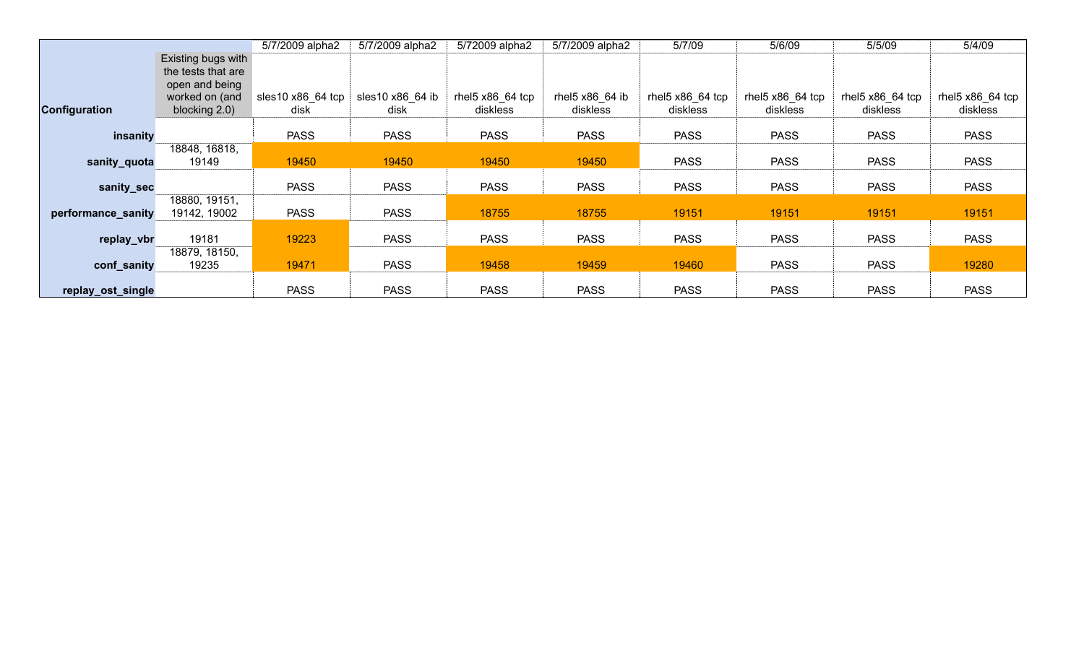|                      |                                                                                               | 5/7/2009 alpha2           | 5/7/2009 alpha2          | 5/72009 alpha2                        | 5/7/2009 alpha2             | 5/7/09                       | 5/6/09                                | 5/5/09                         | 5/4/09                         |
|----------------------|-----------------------------------------------------------------------------------------------|---------------------------|--------------------------|---------------------------------------|-----------------------------|------------------------------|---------------------------------------|--------------------------------|--------------------------------|
| <b>Configuration</b> | Existing bugs with<br>the tests that are<br>open and being<br>worked on (and<br>blocking 2.0) | sles10 x86_64 tcp<br>disk | sles10 x86 64 ib<br>disk | rhel $5 \times 86$ 64 tcp<br>diskless | rhel5 x86_64 ib<br>diskless | rhel5 x86 64 tcp<br>diskless | rhel $5 \times 86$ 64 tcp<br>diskless | rhel $5x86$ 64 tcp<br>diskless | rhel $5x86$ 64 tcp<br>diskless |
| insanity             |                                                                                               | <b>PASS</b>               | <b>PASS</b>              | <b>PASS</b>                           | <b>PASS</b>                 | <b>PASS</b>                  | <b>PASS</b>                           | <b>PASS</b>                    | <b>PASS</b>                    |
| sanity_quota         | 18848, 16818,<br>19149                                                                        | 19450                     | 19450                    | 19450                                 | 19450                       | <b>PASS</b>                  | <b>PASS</b>                           | <b>PASS</b>                    | <b>PASS</b>                    |
| sanity_sec           |                                                                                               | <b>PASS</b>               | <b>PASS</b>              | <b>PASS</b>                           | <b>PASS</b>                 | <b>PASS</b>                  | <b>PASS</b>                           | <b>PASS</b>                    | <b>PASS</b>                    |
| performance_sanity   | 18880, 19151,<br>19142, 19002                                                                 | <b>PASS</b>               | <b>PASS</b>              | 18755                                 | 18755                       | 19151                        | 19151                                 | 19151                          | 19151                          |
| replay_vbr           | 19181                                                                                         | 19223                     | <b>PASS</b>              | <b>PASS</b>                           | <b>PASS</b>                 | <b>PASS</b>                  | <b>PASS</b>                           | <b>PASS</b>                    | <b>PASS</b>                    |
| conf_sanity          | 18879, 18150,<br>19235                                                                        | 19471                     | <b>PASS</b>              | 19458                                 | 19459                       | 19460                        | <b>PASS</b>                           | <b>PASS</b>                    | 19280                          |
| replay_ost_single    |                                                                                               | <b>PASS</b>               | <b>PASS</b>              | <b>PASS</b>                           | <b>PASS</b>                 | <b>PASS</b>                  | <b>PASS</b>                           | <b>PASS</b>                    | <b>PASS</b>                    |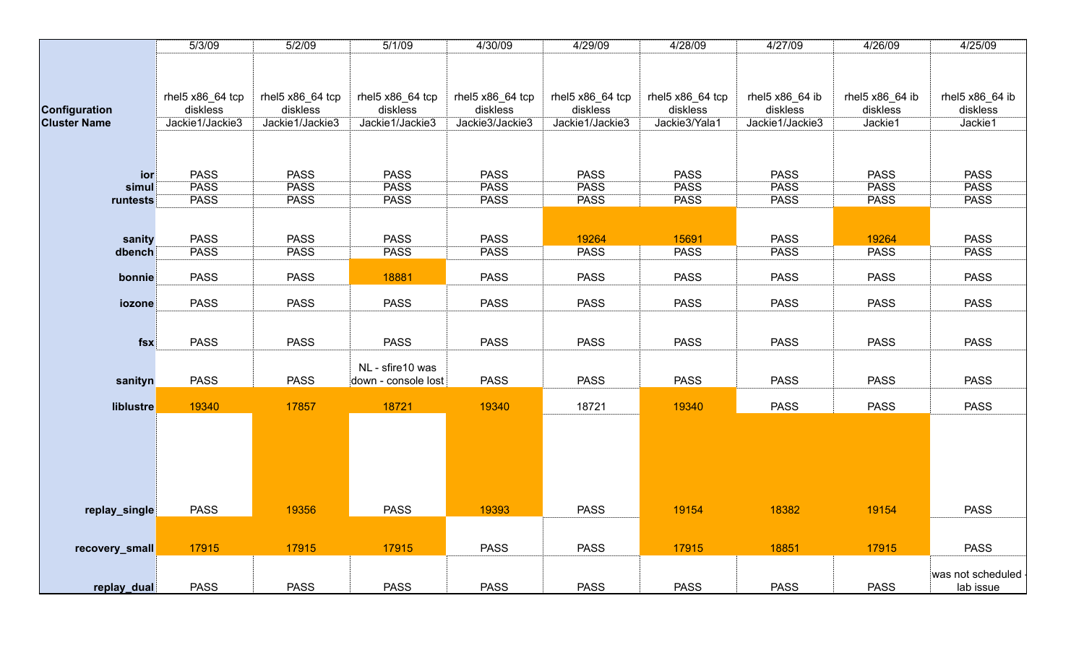|                     | 5/3/09           | 5/2/09           | 5/1/09              | 4/30/09          | 4/29/09          | 4/28/09          | 4/27/09         | 4/26/09         | 4/25/09           |
|---------------------|------------------|------------------|---------------------|------------------|------------------|------------------|-----------------|-----------------|-------------------|
|                     |                  |                  |                     |                  |                  |                  |                 |                 |                   |
|                     |                  |                  |                     |                  |                  |                  |                 |                 |                   |
|                     |                  |                  |                     |                  |                  |                  |                 |                 |                   |
|                     | rhel5 x86_64 tcp | rhel5 x86_64 tcp | rhel5 x86_64 tcp    | rhel5 x86_64 tcp | rhel5 x86_64 tcp | rhel5 x86_64 tcp | rhel5 x86_64 ib | rhel5 x86_64 ib | rhel5 x86_64 ib   |
| Configuration       | diskless         | diskless         | diskless            | diskless         | diskless         | diskless         | diskless        | diskless        | diskless          |
| <b>Cluster Name</b> | Jackie1/Jackie3  | Jackie1/Jackie3  | Jackie1/Jackie3     | Jackie3/Jackie3  | Jackie1/Jackie3  | Jackie3/Yala1    | Jackie1/Jackie3 | Jackie1         | Jackie1           |
|                     |                  |                  |                     |                  |                  |                  |                 |                 |                   |
|                     |                  |                  |                     |                  |                  |                  |                 |                 |                   |
| ior                 | <b>PASS</b>      | <b>PASS</b>      | <b>PASS</b>         | <b>PASS</b>      | <b>PASS</b>      | <b>PASS</b>      | <b>PASS</b>     | <b>PASS</b>     | <b>PASS</b>       |
| simul               | <b>PASS</b>      | <b>PASS</b>      | <b>PASS</b>         | <b>PASS</b>      | <b>PASS</b>      | <b>PASS</b>      | <b>PASS</b>     | <b>PASS</b>     | <b>PASS</b>       |
| runtests            | <b>PASS</b>      | <b>PASS</b>      | <b>PASS</b>         | <b>PASS</b>      | <b>PASS</b>      | <b>PASS</b>      | <b>PASS</b>     | <b>PASS</b>     | <b>PASS</b>       |
|                     |                  |                  |                     |                  |                  |                  |                 |                 |                   |
|                     |                  |                  |                     |                  |                  |                  |                 |                 |                   |
| sanity              | <b>PASS</b>      | <b>PASS</b>      | <b>PASS</b>         | <b>PASS</b>      | 19264            | 15691            | <b>PASS</b>     | 19264           | <b>PASS</b>       |
| dbench              | <b>PASS</b>      | <b>PASS</b>      | <b>PASS</b>         | <b>PASS</b>      | <b>PASS</b>      | <b>PASS</b>      | <b>PASS</b>     | <b>PASS</b>     | <b>PASS</b>       |
|                     |                  |                  |                     |                  |                  |                  |                 |                 |                   |
| bonnie              | <b>PASS</b>      | <b>PASS</b>      | 18881               | <b>PASS</b>      | <b>PASS</b>      | <b>PASS</b>      | <b>PASS</b>     | <b>PASS</b>     | <b>PASS</b>       |
|                     |                  |                  |                     |                  |                  |                  |                 |                 |                   |
| iozone              | <b>PASS</b>      | <b>PASS</b>      | <b>PASS</b>         | <b>PASS</b>      | <b>PASS</b>      | <b>PASS</b>      | <b>PASS</b>     | <b>PASS</b>     | <b>PASS</b>       |
|                     |                  |                  |                     |                  |                  |                  |                 |                 |                   |
|                     |                  |                  |                     |                  |                  |                  |                 |                 |                   |
| fsx                 | <b>PASS</b>      | <b>PASS</b>      | <b>PASS</b>         | <b>PASS</b>      | <b>PASS</b>      | <b>PASS</b>      | <b>PASS</b>     | <b>PASS</b>     | <b>PASS</b>       |
|                     |                  |                  |                     |                  |                  |                  |                 |                 |                   |
|                     |                  |                  | NL - sfire10 was    |                  |                  |                  |                 |                 |                   |
| sanityn             | <b>PASS</b>      | <b>PASS</b>      | down - console lost | <b>PASS</b>      | <b>PASS</b>      | <b>PASS</b>      | <b>PASS</b>     | <b>PASS</b>     | <b>PASS</b>       |
|                     |                  |                  |                     |                  |                  |                  |                 |                 |                   |
| liblustre           | 19340            | 17857            | 18721               | 19340            | 18721            | 19340            | <b>PASS</b>     | <b>PASS</b>     | <b>PASS</b>       |
|                     |                  |                  |                     |                  |                  |                  |                 |                 |                   |
|                     |                  |                  |                     |                  |                  |                  |                 |                 |                   |
|                     |                  |                  |                     |                  |                  |                  |                 |                 |                   |
|                     |                  |                  |                     |                  |                  |                  |                 |                 |                   |
|                     |                  |                  |                     |                  |                  |                  |                 |                 |                   |
|                     |                  |                  |                     |                  |                  |                  |                 |                 |                   |
| replay_single       | <b>PASS</b>      | 19356            | <b>PASS</b>         | 19393            | <b>PASS</b>      | 19154            | 18382           | 19154           | <b>PASS</b>       |
|                     |                  |                  |                     |                  |                  |                  |                 |                 |                   |
|                     |                  |                  |                     |                  |                  |                  |                 |                 |                   |
| recovery_small      | 17915            | 17915            | 17915               | <b>PASS</b>      | <b>PASS</b>      | 17915            | 18851           | 17915           | <b>PASS</b>       |
|                     |                  |                  |                     |                  |                  |                  |                 |                 |                   |
|                     |                  |                  |                     |                  |                  |                  |                 |                 | was not scheduled |
| replay_dual         | <b>PASS</b>      | <b>PASS</b>      | <b>PASS</b>         | <b>PASS</b>      | <b>PASS</b>      | <b>PASS</b>      | <b>PASS</b>     | <b>PASS</b>     | lab issue         |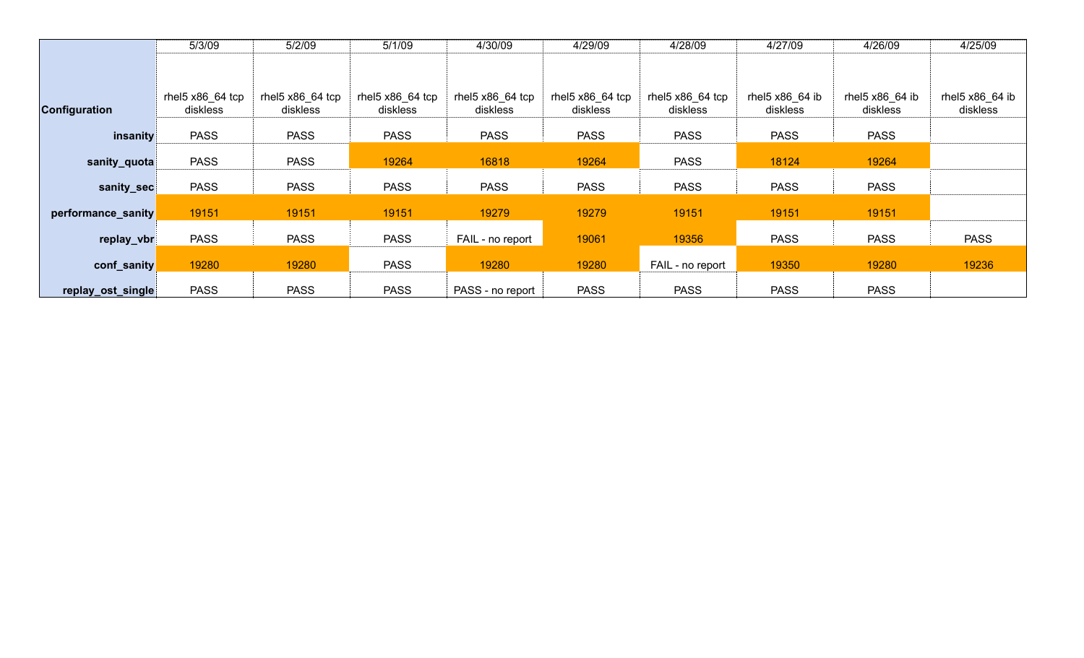|                      | 5/3/09             | 5/2/09           | 5/1/09            | 4/30/09          | 4/29/09          | 4/28/09          | 4/27/09         | 4/26/09         | 4/25/09         |
|----------------------|--------------------|------------------|-------------------|------------------|------------------|------------------|-----------------|-----------------|-----------------|
|                      |                    |                  |                   |                  |                  |                  |                 |                 |                 |
|                      |                    |                  |                   |                  |                  |                  |                 |                 |                 |
|                      | rhel $5x86$ 64 tcp | rhel5 x86_64 tcp | rhel $5x8664$ tcp | rhel5 x86_64 tcp | rhel5 x86_64 tcp | rhel5 x86 64 tcp | rhel5 x86 64 ib | rhel5 x86 64 ib | rhel5 x86_64 ib |
| <b>Configuration</b> | diskless           | diskless         | diskless          | diskless         | diskless         | diskless         | diskless        | diskless        | diskless        |
|                      |                    |                  |                   |                  |                  |                  |                 |                 |                 |
| insanity             | <b>PASS</b>        | <b>PASS</b>      | <b>PASS</b>       | <b>PASS</b>      | <b>PASS</b>      | <b>PASS</b>      | <b>PASS</b>     | <b>PASS</b>     |                 |
|                      |                    |                  |                   |                  |                  |                  |                 |                 |                 |
| sanity_quota         | <b>PASS</b>        | <b>PASS</b>      | 19264             | 16818            | 19264            | <b>PASS</b>      | 18124           | 19264           |                 |
| sanity_sec           | <b>PASS</b>        | <b>PASS</b>      | <b>PASS</b>       | <b>PASS</b>      | <b>PASS</b>      | <b>PASS</b>      | <b>PASS</b>     | <b>PASS</b>     |                 |
|                      |                    |                  |                   |                  |                  |                  |                 |                 |                 |
| performance_sanity   | 19151              | 19151            | 19151             | 19279            | 19279            | 19151            | 19151           | 19151           |                 |
|                      |                    |                  |                   |                  |                  |                  |                 |                 |                 |
| replay_vbr           | <b>PASS</b>        | <b>PASS</b>      | <b>PASS</b>       | FAIL - no report | 19061            | 19356            | <b>PASS</b>     | <b>PASS</b>     | <b>PASS</b>     |
|                      |                    |                  |                   |                  |                  |                  |                 |                 |                 |
| conf_sanity          | 19280              | 19280            | <b>PASS</b>       | 19280            | 19280            | FAIL - no report | 19350           | 19280           | 19236           |
| replay_ost_single    | <b>PASS</b>        | <b>PASS</b>      | <b>PASS</b>       | PASS - no report | <b>PASS</b>      | <b>PASS</b>      | <b>PASS</b>     | <b>PASS</b>     |                 |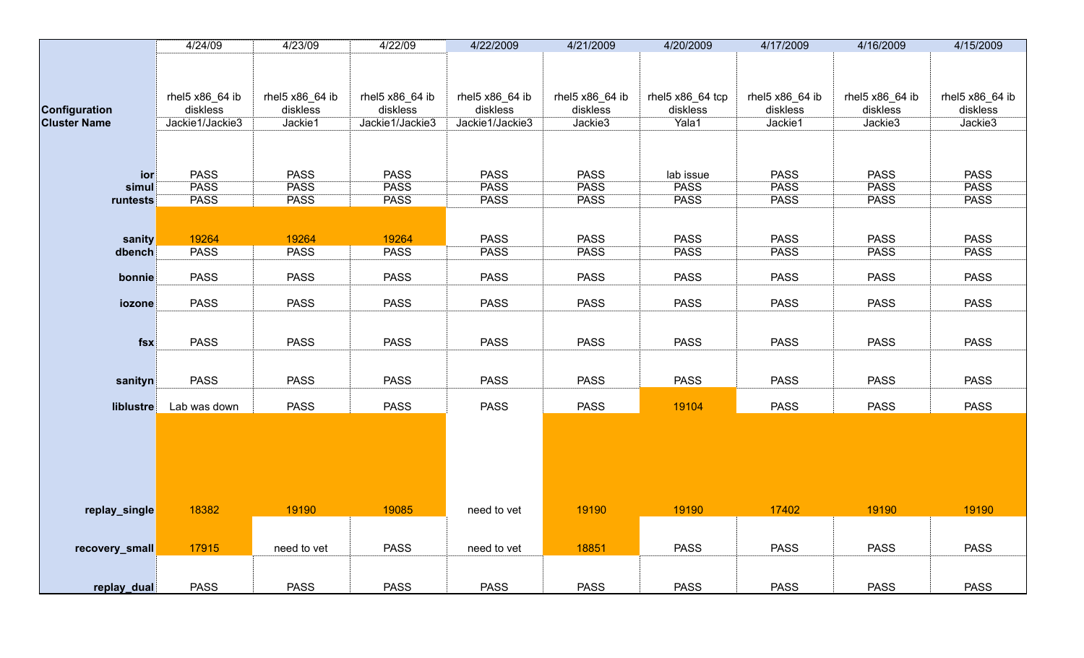|                     | 4/24/09                     | 4/23/09                     | 4/22/09                     | 4/22/2009                   | 4/21/2009                   | 4/20/2009                    | 4/17/2009                   | 4/16/2009                   | 4/15/2009                   |
|---------------------|-----------------------------|-----------------------------|-----------------------------|-----------------------------|-----------------------------|------------------------------|-----------------------------|-----------------------------|-----------------------------|
|                     |                             |                             |                             |                             |                             |                              |                             |                             |                             |
|                     |                             |                             |                             |                             |                             |                              |                             |                             |                             |
|                     |                             |                             |                             |                             |                             |                              |                             |                             |                             |
| Configuration       | rhel5 x86_64 ib<br>diskless | rhel5 x86_64 ib<br>diskless | rhel5 x86_64 ib<br>diskless | rhel5 x86_64 ib<br>diskless | rhel5 x86_64 ib<br>diskless | rhel5 x86_64 tcp<br>diskless | rhel5 x86_64 ib<br>diskless | rhel5 x86_64 ib<br>diskless | rhel5 x86_64 ib<br>diskless |
| <b>Cluster Name</b> | Jackie1/Jackie3             | Jackie1                     | Jackie1/Jackie3             | Jackie1/Jackie3             | Jackie3                     | Yala1                        | Jackie1                     | Jackie3                     | Jackie3                     |
|                     |                             |                             |                             |                             |                             |                              |                             |                             |                             |
|                     |                             |                             |                             |                             |                             |                              |                             |                             |                             |
|                     |                             |                             |                             |                             |                             |                              |                             |                             |                             |
| ior                 | <b>PASS</b>                 | <b>PASS</b>                 | <b>PASS</b>                 | <b>PASS</b>                 | <b>PASS</b>                 | lab issue                    | <b>PASS</b>                 | <b>PASS</b>                 | <b>PASS</b>                 |
| simul               | <b>PASS</b>                 | <b>PASS</b>                 | <b>PASS</b>                 | <b>PASS</b>                 | <b>PASS</b>                 | <b>PASS</b>                  | <b>PASS</b>                 | <b>PASS</b>                 | <b>PASS</b>                 |
| runtests            | <b>PASS</b>                 | <b>PASS</b>                 | <b>PASS</b>                 | <b>PASS</b>                 | <b>PASS</b>                 | <b>PASS</b>                  | <b>PASS</b>                 | <b>PASS</b>                 | <b>PASS</b>                 |
|                     |                             |                             |                             |                             |                             |                              |                             |                             |                             |
|                     |                             |                             |                             |                             |                             |                              |                             |                             |                             |
| sanity              | 19264<br><b>PASS</b>        | 19264<br><b>PASS</b>        | 19264<br><b>PASS</b>        | <b>PASS</b><br><b>PASS</b>  | <b>PASS</b><br><b>PASS</b>  | <b>PASS</b><br><b>PASS</b>   | <b>PASS</b><br><b>PASS</b>  | <b>PASS</b><br><b>PASS</b>  | <b>PASS</b><br><b>PASS</b>  |
| dbench              |                             |                             |                             |                             |                             |                              |                             |                             |                             |
| bonnie              | <b>PASS</b>                 | <b>PASS</b>                 | <b>PASS</b>                 | <b>PASS</b>                 | <b>PASS</b>                 | <b>PASS</b>                  | <b>PASS</b>                 | <b>PASS</b>                 | <b>PASS</b>                 |
|                     |                             |                             |                             |                             |                             |                              |                             |                             |                             |
| iozone              | <b>PASS</b>                 | <b>PASS</b>                 | <b>PASS</b>                 | <b>PASS</b>                 | <b>PASS</b>                 | <b>PASS</b>                  | <b>PASS</b>                 | <b>PASS</b>                 | <b>PASS</b>                 |
|                     |                             |                             |                             |                             |                             |                              |                             |                             |                             |
|                     |                             |                             |                             |                             |                             |                              |                             |                             |                             |
| fsx                 | <b>PASS</b>                 | <b>PASS</b>                 | <b>PASS</b>                 | <b>PASS</b>                 | <b>PASS</b>                 | <b>PASS</b>                  | <b>PASS</b>                 | <b>PASS</b>                 | <b>PASS</b>                 |
|                     |                             |                             |                             |                             |                             |                              |                             |                             |                             |
| sanityn             | <b>PASS</b>                 | <b>PASS</b>                 | <b>PASS</b>                 | <b>PASS</b>                 | <b>PASS</b>                 | <b>PASS</b>                  | <b>PASS</b>                 | <b>PASS</b>                 | <b>PASS</b>                 |
|                     |                             |                             |                             |                             |                             |                              |                             |                             |                             |
| liblustre           | Lab was down                | <b>PASS</b>                 | <b>PASS</b>                 | <b>PASS</b>                 | <b>PASS</b>                 | 19104                        | <b>PASS</b>                 | <b>PASS</b>                 | <b>PASS</b>                 |
|                     |                             |                             |                             |                             |                             |                              |                             |                             |                             |
|                     |                             |                             |                             |                             |                             |                              |                             |                             |                             |
|                     |                             |                             |                             |                             |                             |                              |                             |                             |                             |
|                     |                             |                             |                             |                             |                             |                              |                             |                             |                             |
|                     |                             |                             |                             |                             |                             |                              |                             |                             |                             |
|                     |                             |                             |                             |                             |                             |                              |                             |                             |                             |
| replay_single       | 18382                       | 19190                       | 19085                       | need to vet                 | 19190                       | 19190                        | 17402                       | 19190                       | 19190                       |
|                     |                             |                             |                             |                             |                             |                              |                             |                             |                             |
|                     |                             |                             |                             |                             |                             |                              |                             |                             |                             |
| recovery_small      | 17915                       | need to vet                 | <b>PASS</b>                 | need to vet                 | 18851                       | <b>PASS</b>                  | <b>PASS</b>                 | <b>PASS</b>                 | <b>PASS</b>                 |
|                     |                             |                             |                             |                             |                             |                              |                             |                             |                             |
|                     |                             |                             |                             |                             |                             |                              |                             |                             |                             |
| replay_dual         | <b>PASS</b>                 | <b>PASS</b>                 | <b>PASS</b>                 | <b>PASS</b>                 | <b>PASS</b>                 | <b>PASS</b>                  | <b>PASS</b>                 | <b>PASS</b>                 | <b>PASS</b>                 |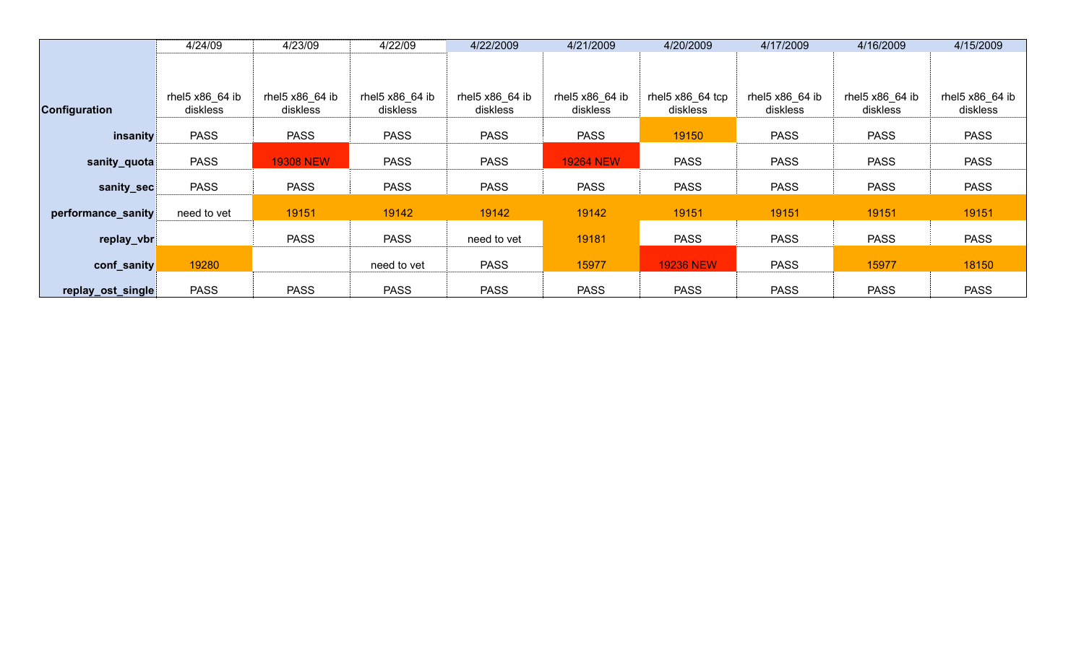|                      | 4/24/09         | 4/23/09          | 4/22/09         | 4/22/2009       | 4/21/2009        | 4/20/2009        | 4/17/2009        | 4/16/2009       | 4/15/2009       |
|----------------------|-----------------|------------------|-----------------|-----------------|------------------|------------------|------------------|-----------------|-----------------|
|                      |                 |                  |                 |                 |                  |                  |                  |                 |                 |
|                      |                 |                  |                 |                 |                  |                  |                  |                 |                 |
|                      | rhel5 x86 64 ib | rhel5 x86_64 ib  | rhel5 x86 64 ib | rhel5 x86 64 ib | rhel5 x86_64 ib  | rhel5 x86_64 tcp | rhel $5x8664$ ib | rhel5 x86_64 ib | rhel5 x86 64 ib |
| <b>Configuration</b> | diskless        | diskless         | diskless        | diskless        | diskless         | diskless         | diskless         | diskless        | diskless        |
|                      |                 |                  |                 |                 |                  |                  |                  |                 |                 |
| insanity             | <b>PASS</b>     | <b>PASS</b>      | <b>PASS</b>     | <b>PASS</b>     | <b>PASS</b>      | 19150            | <b>PASS</b>      | <b>PASS</b>     | <b>PASS</b>     |
|                      |                 |                  |                 |                 |                  |                  |                  |                 |                 |
| sanity_quota         | <b>PASS</b>     | <b>19308 NEW</b> | <b>PASS</b>     | <b>PASS</b>     | <b>19264 NEW</b> | <b>PASS</b>      | <b>PASS</b>      | <b>PASS</b>     | <b>PASS</b>     |
| sanity_sec           | <b>PASS</b>     | <b>PASS</b>      | <b>PASS</b>     | <b>PASS</b>     | <b>PASS</b>      | <b>PASS</b>      | <b>PASS</b>      | <b>PASS</b>     | <b>PASS</b>     |
|                      |                 |                  |                 |                 |                  |                  |                  |                 |                 |
| performance_sanity   | need to vet     | 19151            | 19142           | 19142           | 19142            | 19151            | 19151            | 19151           | 19151           |
|                      |                 |                  |                 |                 |                  |                  |                  |                 |                 |
| replay_vbr           |                 | <b>PASS</b>      | <b>PASS</b>     | need to vet     | 19181            | <b>PASS</b>      | <b>PASS</b>      | <b>PASS</b>     | <b>PASS</b>     |
|                      |                 |                  |                 |                 |                  |                  |                  |                 |                 |
| conf_sanity          | 19280           |                  | need to vet     | <b>PASS</b>     | 15977            | <b>19236 NEW</b> | <b>PASS</b>      | 15977           | 18150           |
|                      |                 |                  |                 |                 |                  |                  |                  |                 |                 |
| replay_ost_single    | <b>PASS</b>     | <b>PASS</b>      | <b>PASS</b>     | <b>PASS</b>     | <b>PASS</b>      | <b>PASS</b>      | <b>PASS</b>      | <b>PASS</b>     | <b>PASS</b>     |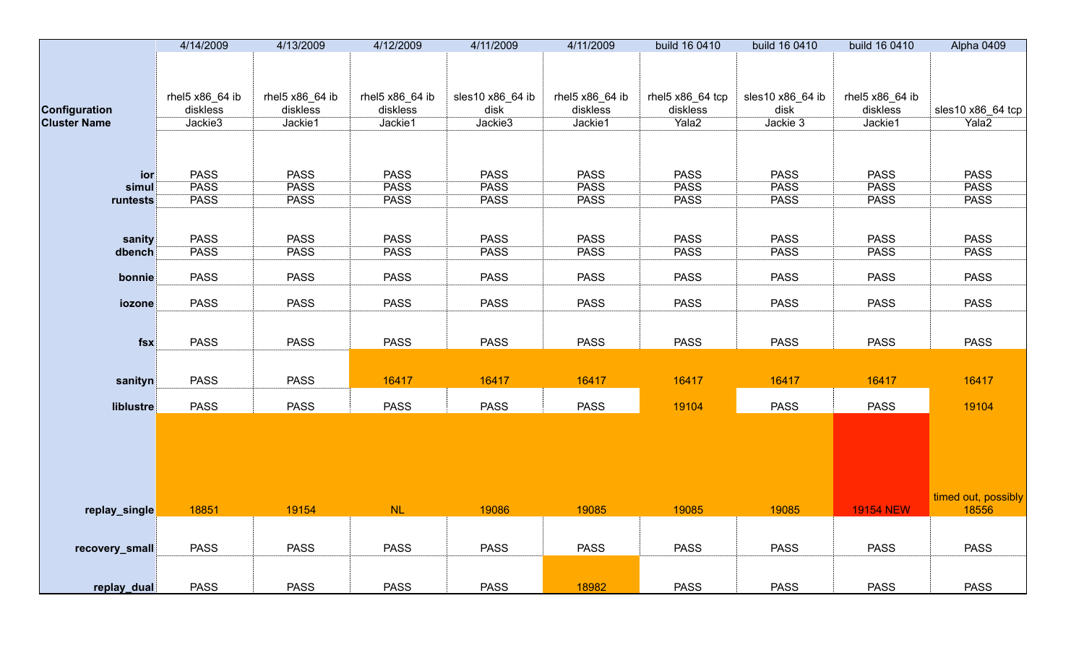|                      | 4/14/2009       | 4/13/2009       | 4/12/2009       | 4/11/2009        | 4/11/2009       | build 16 0410    | build 16 0410    | build 16 0410    | Alpha 0409                 |
|----------------------|-----------------|-----------------|-----------------|------------------|-----------------|------------------|------------------|------------------|----------------------------|
|                      |                 |                 |                 |                  |                 |                  |                  |                  |                            |
|                      |                 |                 |                 |                  |                 |                  |                  |                  |                            |
|                      | rhel5 x86_64 ib | rhel5 x86_64 ib | rhel5 x86_64 ib | sles10 x86_64 ib | rhel5 x86_64 ib | rhel5 x86_64 tcp | sles10 x86_64 ib | rhel5 x86_64 ib  |                            |
| <b>Configuration</b> | diskless        | diskless        | diskless        | disk             | diskless        | diskless         | disk             | diskless         | sles10 x86_64 tcp          |
| <b>Cluster Name</b>  | Jackie3         | Jackie1         | Jackie1         | Jackie3          | Jackie1         | Yala2            | Jackie 3         | Jackie1          | Yala2                      |
|                      |                 |                 |                 |                  |                 |                  |                  |                  |                            |
|                      |                 |                 |                 |                  |                 |                  |                  |                  |                            |
|                      |                 |                 |                 |                  |                 |                  |                  |                  |                            |
| ior                  | <b>PASS</b>     | <b>PASS</b>     | <b>PASS</b>     | <b>PASS</b>      | <b>PASS</b>     | <b>PASS</b>      | <b>PASS</b>      | <b>PASS</b>      | <b>PASS</b>                |
| simul                | <b>PASS</b>     | <b>PASS</b>     | <b>PASS</b>     | <b>PASS</b>      | <b>PASS</b>     | <b>PASS</b>      | <b>PASS</b>      | <b>PASS</b>      | <b>PASS</b><br><b>PASS</b> |
| runtests             | <b>PASS</b>     | <b>PASS</b>     | <b>PASS</b>     | <b>PASS</b>      | <b>PASS</b>     | <b>PASS</b>      | <b>PASS</b>      | <b>PASS</b>      |                            |
|                      |                 |                 |                 |                  |                 |                  |                  |                  |                            |
| sanity               | <b>PASS</b>     | <b>PASS</b>     | <b>PASS</b>     | <b>PASS</b>      | <b>PASS</b>     | <b>PASS</b>      | <b>PASS</b>      | <b>PASS</b>      | <b>PASS</b>                |
| dbench               | <b>PASS</b>     | <b>PASS</b>     | <b>PASS</b>     | <b>PASS</b>      | <b>PASS</b>     | <b>PASS</b>      | <b>PASS</b>      | <b>PASS</b>      | <b>PASS</b>                |
|                      |                 |                 |                 |                  |                 |                  |                  |                  |                            |
| bonnie               | <b>PASS</b>     | <b>PASS</b>     | <b>PASS</b>     | <b>PASS</b>      | <b>PASS</b>     | <b>PASS</b>      | <b>PASS</b>      | <b>PASS</b>      | <b>PASS</b>                |
|                      |                 |                 |                 |                  |                 |                  |                  |                  |                            |
| iozone               | <b>PASS</b>     | <b>PASS</b>     | <b>PASS</b>     | <b>PASS</b>      | <b>PASS</b>     | <b>PASS</b>      | <b>PASS</b>      | <b>PASS</b>      | <b>PASS</b>                |
|                      |                 |                 |                 |                  |                 |                  |                  |                  |                            |
| fsx                  | <b>PASS</b>     | <b>PASS</b>     | <b>PASS</b>     | <b>PASS</b>      | <b>PASS</b>     | <b>PASS</b>      | <b>PASS</b>      | <b>PASS</b>      | <b>PASS</b>                |
|                      |                 |                 |                 |                  |                 |                  |                  |                  |                            |
|                      |                 |                 |                 |                  |                 |                  |                  |                  |                            |
| sanityn              | <b>PASS</b>     | <b>PASS</b>     | 16417           | 16417            | 16417           | 16417            | 16417            | 16417            | 16417                      |
|                      |                 |                 |                 |                  |                 |                  |                  |                  |                            |
| liblustre            | <b>PASS</b>     | <b>PASS</b>     | <b>PASS</b>     | <b>PASS</b>      | <b>PASS</b>     | 19104            | <b>PASS</b>      | <b>PASS</b>      | 19104                      |
|                      |                 |                 |                 |                  |                 |                  |                  |                  |                            |
|                      |                 |                 |                 |                  |                 |                  |                  |                  |                            |
|                      |                 |                 |                 |                  |                 |                  |                  |                  |                            |
|                      |                 |                 |                 |                  |                 |                  |                  |                  |                            |
|                      |                 |                 |                 |                  |                 |                  |                  |                  |                            |
|                      |                 |                 |                 |                  |                 |                  |                  |                  | timed out, possibly        |
| replay_single        | 18851           | 19154           | <b>NL</b>       | 19086            | 19085           | 19085            | 19085            | <b>19154 NEW</b> | 18556                      |
|                      |                 |                 |                 |                  |                 |                  |                  |                  |                            |
| recovery_small       | <b>PASS</b>     | <b>PASS</b>     | <b>PASS</b>     | <b>PASS</b>      | <b>PASS</b>     | <b>PASS</b>      | <b>PASS</b>      | <b>PASS</b>      | <b>PASS</b>                |
|                      |                 |                 |                 |                  |                 |                  |                  |                  |                            |
|                      |                 |                 |                 |                  |                 |                  |                  |                  |                            |
| replay_dual          | <b>PASS</b>     | <b>PASS</b>     | <b>PASS</b>     | <b>PASS</b>      | 18982           | <b>PASS</b>      | <b>PASS</b>      | <b>PASS</b>      | <b>PASS</b>                |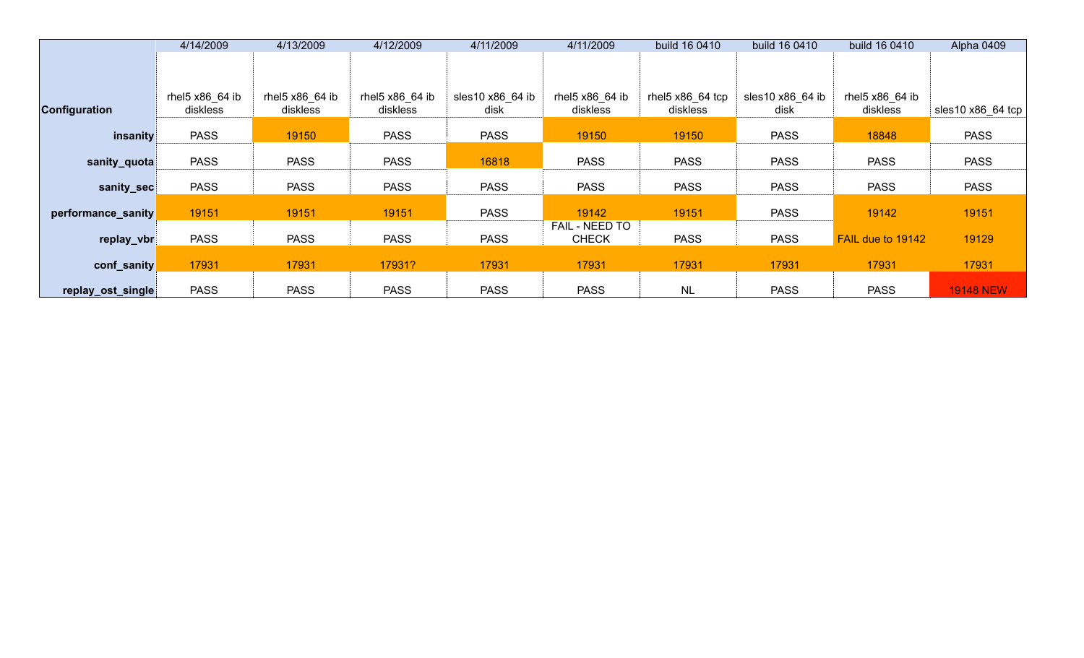|                      | 4/14/2009                   | 4/13/2009                   | 4/12/2009                   | 4/11/2009                | 4/11/2009                      | build 16 0410                | build 16 0410            | build 16 0410               | Alpha 0409                |
|----------------------|-----------------------------|-----------------------------|-----------------------------|--------------------------|--------------------------------|------------------------------|--------------------------|-----------------------------|---------------------------|
|                      |                             |                             |                             |                          |                                |                              |                          |                             |                           |
| <b>Configuration</b> | rhel5 x86_64 ib<br>diskless | rhel5 x86_64 ib<br>diskless | rhel5 x86_64 ib<br>diskless | sles10 x86_64 ib<br>disk | rhel5 x86_64 ib<br>diskless    | rhel5 x86_64 tcp<br>diskless | sles10 x86 64 ib<br>disk | rhel5 x86_64 ib<br>diskless | sles10 $\times$ 86 64 tcp |
| insanity             | <b>PASS</b>                 | 19150                       | <b>PASS</b>                 | <b>PASS</b>              | 19150                          | 19150                        | <b>PASS</b>              | 18848                       | <b>PASS</b>               |
| sanity_quota         | <b>PASS</b>                 | <b>PASS</b>                 | <b>PASS</b>                 | 16818                    | <b>PASS</b>                    | <b>PASS</b>                  | <b>PASS</b>              | <b>PASS</b>                 | <b>PASS</b>               |
| sanity_sec           | <b>PASS</b>                 | <b>PASS</b>                 | <b>PASS</b>                 | <b>PASS</b>              | <b>PASS</b>                    | <b>PASS</b>                  | <b>PASS</b>              | <b>PASS</b>                 | <b>PASS</b>               |
| performance_sanity   | 19151                       | 19151                       | 19151                       | <b>PASS</b>              | 19142                          | 19151                        | <b>PASS</b>              | 19142                       | 19151                     |
| replay_vbr           | <b>PASS</b>                 | <b>PASS</b>                 | <b>PASS</b>                 | <b>PASS</b>              | FAIL - NEED TO<br><b>CHECK</b> | <b>PASS</b>                  | <b>PASS</b>              | FAIL due to 19142           | 19129                     |
| conf_sanity          | 17931                       | 17931                       | 17931?                      | 17931                    | 17931                          | 17931                        | 17931                    | 17931                       | 17931                     |
| replay_ost_single    | <b>PASS</b>                 | <b>PASS</b>                 | <b>PASS</b>                 | <b>PASS</b>              | <b>PASS</b>                    | <b>NL</b>                    | <b>PASS</b>              | <b>PASS</b>                 | <b>19148 NEW</b>          |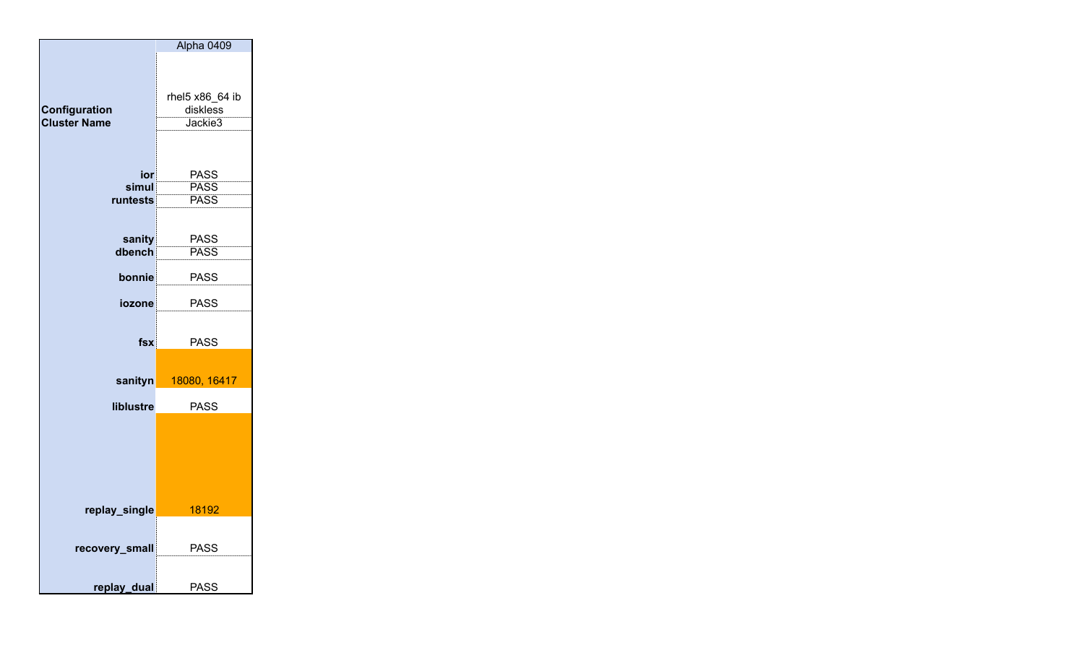|                     | Alpha 0409                 |
|---------------------|----------------------------|
|                     |                            |
|                     |                            |
|                     |                            |
|                     | rhel5 x86_64 ib            |
| Configuration       | diskless                   |
| <b>Cluster Name</b> | Jackie3                    |
|                     |                            |
|                     |                            |
| ior                 | <b>PASS</b>                |
| simul               | <b>PASS</b>                |
| runtests            | <b>PASS</b>                |
|                     |                            |
|                     |                            |
| sanity<br>dbench    | <b>PASS</b><br><b>PASS</b> |
|                     |                            |
| bonnie              | <b>PASS</b>                |
|                     |                            |
| iozone              | <b>PASS</b>                |
|                     |                            |
|                     |                            |
| fsx                 | <b>PASS</b>                |
|                     |                            |
| sanityn             | 18080, 16417               |
|                     |                            |
| liblustre           | <b>PASS</b>                |
|                     |                            |
|                     |                            |
|                     |                            |
|                     |                            |
|                     |                            |
|                     |                            |
| replay_single       | 18192                      |
|                     |                            |
|                     |                            |
| recovery_small      | <b>PASS</b>                |
|                     |                            |
| replay_dual         | <b>PASS</b>                |
|                     |                            |